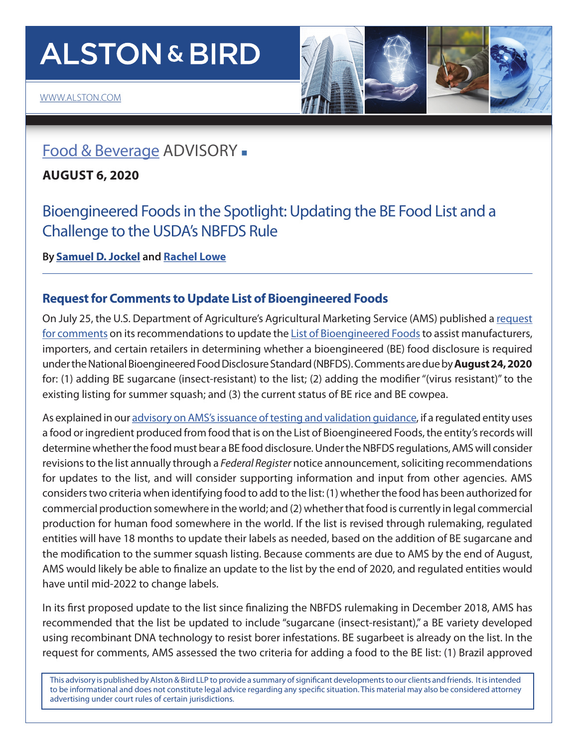# **ALSTON & BIRD**



## [Food & Beverage](https://www.alston.com/en/services/practices/litigation/agribusiness-food-beverage-cosmetics) ADVISORY .

**AUGUST 6, 2020** 

Bioengineered Foods in the Spotlight: Updating the BE Food List and a Challenge to the USDA's NBFDS Rule

**By [Samuel D. Jockel](https://www.alston.com/en/professionals/j/jockel-sam) and [Rachel Lowe](https://www.alston.com/en/professionals/l/lowe-rachel)**

### **Request for Comments to Update List of Bioengineered Foods**

On July 25, the U.S. Department of Agriculture's Agricultural Marketing Service (AMS) published a [request](https://www.govinfo.gov/content/pkg/FR-2020-07-24/pdf/2020-14933.pdf) [for comments](https://www.govinfo.gov/content/pkg/FR-2020-07-24/pdf/2020-14933.pdf) on its recommendations to update the [List of Bioengineered Foods](https://www.ams.usda.gov/rules-regulations/be/bioengineered-foods-list) to assist manufacturers, importers, and certain retailers in determining whether a bioengineered (BE) food disclosure is required under the National Bioengineered Food Disclosure Standard (NBFDS). Comments are due by **August 24, 2020** for: (1) adding BE sugarcane (insect-resistant) to the list; (2) adding the modifier "(virus resistant)" to the existing listing for summer squash; and (3) the current status of BE rice and BE cowpea.

As explained in our [advisory on AMS's issuance of testing and validation guidance](https://www.alston.com/en/insights/publications/2020/07/usda-ams-issues-bioengineered-food-disclosure), if a regulated entity uses a food or ingredient produced from food that is on the List of Bioengineered Foods, the entity's records will determine whether the food must bear a BE food disclosure. Under the NBFDS regulations, AMS will consider revisions to the list annually through a *Federal Register* notice announcement, soliciting recommendations for updates to the list, and will consider supporting information and input from other agencies. AMS considers two criteria when identifying food to add to the list: (1) whether the food has been authorized for commercial production somewhere in the world; and (2) whether that food is currently in legal commercial production for human food somewhere in the world. If the list is revised through rulemaking, regulated entities will have 18 months to update their labels as needed, based on the addition of BE sugarcane and the modification to the summer squash listing. Because comments are due to AMS by the end of August, AMS would likely be able to finalize an update to the list by the end of 2020, and regulated entities would have until mid-2022 to change labels.

In its first proposed update to the list since finalizing the NBFDS rulemaking in December 2018, AMS has recommended that the list be updated to include "sugarcane (insect-resistant)," a BE variety developed using recombinant DNA technology to resist borer infestations. BE sugarbeet is already on the list. In the request for comments, AMS assessed the two criteria for adding a food to the BE list: (1) Brazil approved

This advisory is published by Alston & Bird LLP to provide a summary of significant developments to our clients and friends. It is intended to be informational and does not constitute legal advice regarding any specific situation. This material may also be considered attorney advertising under court rules of certain jurisdictions.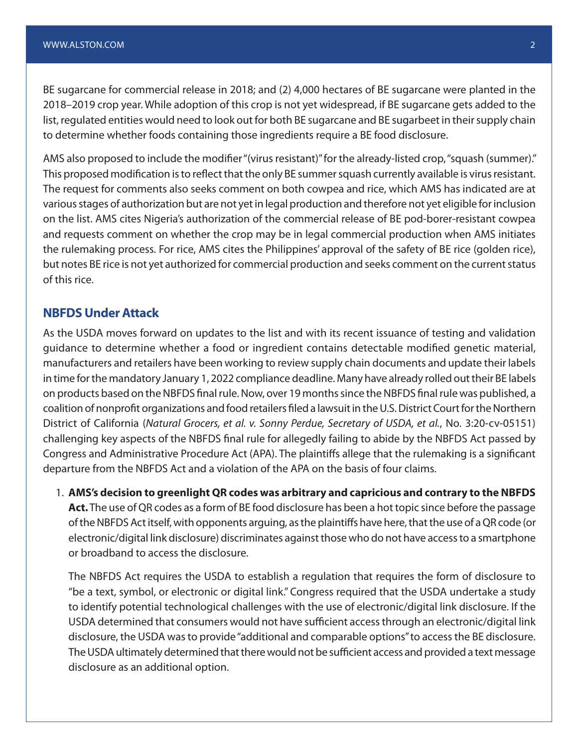BE sugarcane for commercial release in 2018; and (2) 4,000 hectares of BE sugarcane were planted in the 2018–2019 crop year. While adoption of this crop is not yet widespread, if BE sugarcane gets added to the list, regulated entities would need to look out for both BE sugarcane and BE sugarbeet in their supply chain to determine whether foods containing those ingredients require a BE food disclosure.

AMS also proposed to include the modifier "(virus resistant)" for the already-listed crop, "squash (summer)." This proposed modification is to reflect that the only BE summer squash currently available is virus resistant. The request for comments also seeks comment on both cowpea and rice, which AMS has indicated are at various stages of authorization but are not yet in legal production and therefore not yet eligible for inclusion on the list. AMS cites Nigeria's authorization of the commercial release of BE pod-borer-resistant cowpea and requests comment on whether the crop may be in legal commercial production when AMS initiates the rulemaking process. For rice, AMS cites the Philippines' approval of the safety of BE rice (golden rice), but notes BE rice is not yet authorized for commercial production and seeks comment on the current status of this rice.

#### **NBFDS Under Attack**

As the USDA moves forward on updates to the list and with its recent issuance of testing and validation guidance to determine whether a food or ingredient contains detectable modified genetic material, manufacturers and retailers have been working to review supply chain documents and update their labels in time for the mandatory January 1, 2022 compliance deadline. Many have already rolled out their BE labels on products based on the NBFDS final rule. Now, over 19 months since the NBFDS final rule was published, a coalition of nonprofit organizations and food retailers filed a lawsuit in the U.S. District Court for the Northern District of California (*Natural Grocers, et al. v. Sonny Perdue, Secretary of USDA, et al.*, No. 3:20-cv-05151) challenging key aspects of the NBFDS final rule for allegedly failing to abide by the NBFDS Act passed by Congress and Administrative Procedure Act (APA). The plaintiffs allege that the rulemaking is a significant departure from the NBFDS Act and a violation of the APA on the basis of four claims.

1. **AMS's decision to greenlight QR codes was arbitrary and capricious and contrary to the NBFDS Act.** The use of QR codes as a form of BE food disclosure has been a hot topic since before the passage of the NBFDS Act itself, with opponents arguing, as the plaintiffs have here, that the use of a QR code (or electronic/digital link disclosure) discriminates against those who do not have access to a smartphone or broadband to access the disclosure.

The NBFDS Act requires the USDA to establish a regulation that requires the form of disclosure to "be a text, symbol, or electronic or digital link." Congress required that the USDA undertake a study to identify potential technological challenges with the use of electronic/digital link disclosure. If the USDA determined that consumers would not have sufficient access through an electronic/digital link disclosure, the USDA was to provide "additional and comparable options" to access the BE disclosure. The USDA ultimately determined that there would not be sufficient access and provided a text message disclosure as an additional option.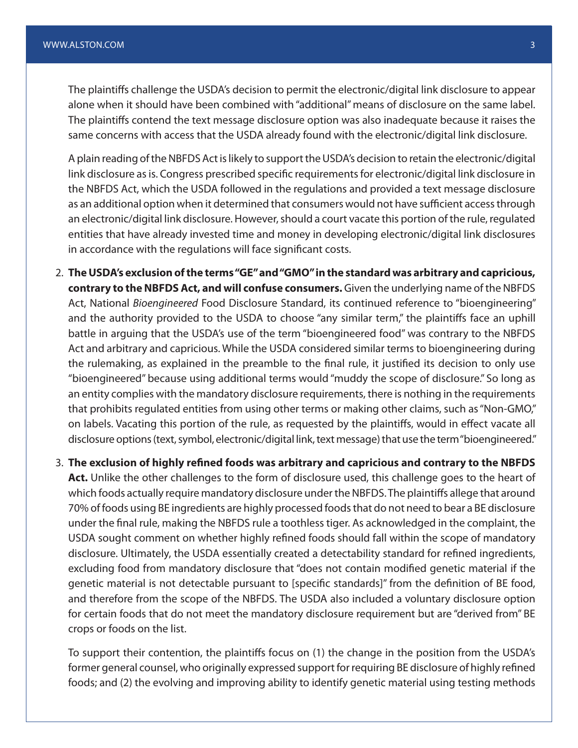The plaintiffs challenge the USDA's decision to permit the electronic/digital link disclosure to appear alone when it should have been combined with "additional" means of disclosure on the same label. The plaintiffs contend the text message disclosure option was also inadequate because it raises the same concerns with access that the USDA already found with the electronic/digital link disclosure.

A plain reading of the NBFDS Act is likely to support the USDA's decision to retain the electronic/digital link disclosure as is. Congress prescribed specific requirements for electronic/digital link disclosure in the NBFDS Act, which the USDA followed in the regulations and provided a text message disclosure as an additional option when it determined that consumers would not have sufficient access through an electronic/digital link disclosure. However, should a court vacate this portion of the rule, regulated entities that have already invested time and money in developing electronic/digital link disclosures in accordance with the regulations will face significant costs.

2. **The USDA's exclusion of the terms "GE" and "GMO" in the standard was arbitrary and capricious, contrary to the NBFDS Act, and will confuse consumers.** Given the underlying name of the NBFDS Act, National *Bioengineered* Food Disclosure Standard, its continued reference to "bioengineering" and the authority provided to the USDA to choose "any similar term," the plaintiffs face an uphill battle in arguing that the USDA's use of the term "bioengineered food" was contrary to the NBFDS Act and arbitrary and capricious. While the USDA considered similar terms to bioengineering during the rulemaking, as explained in the preamble to the final rule, it justified its decision to only use "bioengineered" because using additional terms would "muddy the scope of disclosure." So long as an entity complies with the mandatory disclosure requirements, there is nothing in the requirements that prohibits regulated entities from using other terms or making other claims, such as "Non-GMO," on labels. Vacating this portion of the rule, as requested by the plaintiffs, would in effect vacate all disclosure options (text, symbol, electronic/digital link, text message) that use the term "bioengineered."

3. **The exclusion of highly refined foods was arbitrary and capricious and contrary to the NBFDS Act.** Unlike the other challenges to the form of disclosure used, this challenge goes to the heart of which foods actually require mandatory disclosure under the NBFDS. The plaintiffs allege that around 70% of foods using BE ingredients are highly processed foods that do not need to bear a BE disclosure under the final rule, making the NBFDS rule a toothless tiger. As acknowledged in the complaint, the USDA sought comment on whether highly refined foods should fall within the scope of mandatory disclosure. Ultimately, the USDA essentially created a detectability standard for refined ingredients, excluding food from mandatory disclosure that "does not contain modified genetic material if the genetic material is not detectable pursuant to [specific standards]" from the definition of BE food, and therefore from the scope of the NBFDS. The USDA also included a voluntary disclosure option for certain foods that do not meet the mandatory disclosure requirement but are "derived from" BE crops or foods on the list.

To support their contention, the plaintiffs focus on (1) the change in the position from the USDA's former general counsel, who originally expressed support for requiring BE disclosure of highly refined foods; and (2) the evolving and improving ability to identify genetic material using testing methods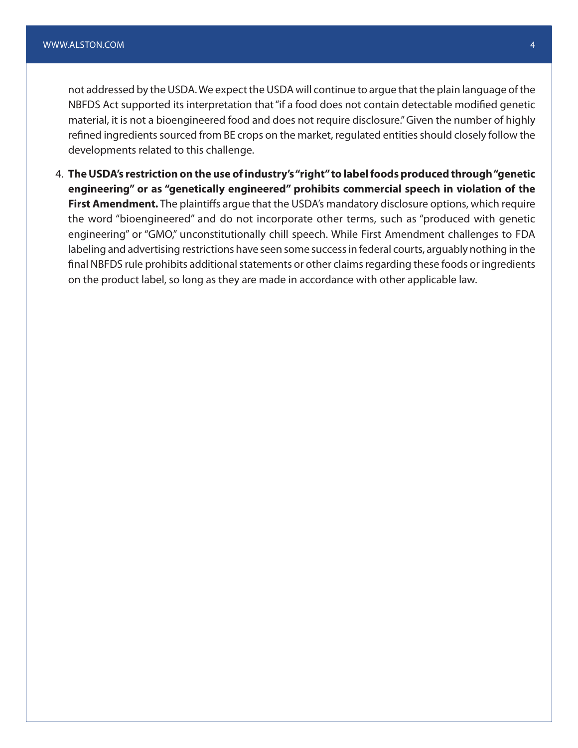not addressed by the USDA. We expect the USDA will continue to argue that the plain language of the NBFDS Act supported its interpretation that "if a food does not contain detectable modified genetic material, it is not a bioengineered food and does not require disclosure." Given the number of highly refined ingredients sourced from BE crops on the market, regulated entities should closely follow the developments related to this challenge.

4. **The USDA's restriction on the use of industry's "right" to label foods produced through "genetic engineering" or as "genetically engineered" prohibits commercial speech in violation of the First Amendment.** The plaintiffs argue that the USDA's mandatory disclosure options, which require the word "bioengineered" and do not incorporate other terms, such as "produced with genetic engineering" or "GMO," unconstitutionally chill speech. While First Amendment challenges to FDA labeling and advertising restrictions have seen some success in federal courts, arguably nothing in the final NBFDS rule prohibits additional statements or other claims regarding these foods or ingredients on the product label, so long as they are made in accordance with other applicable law.